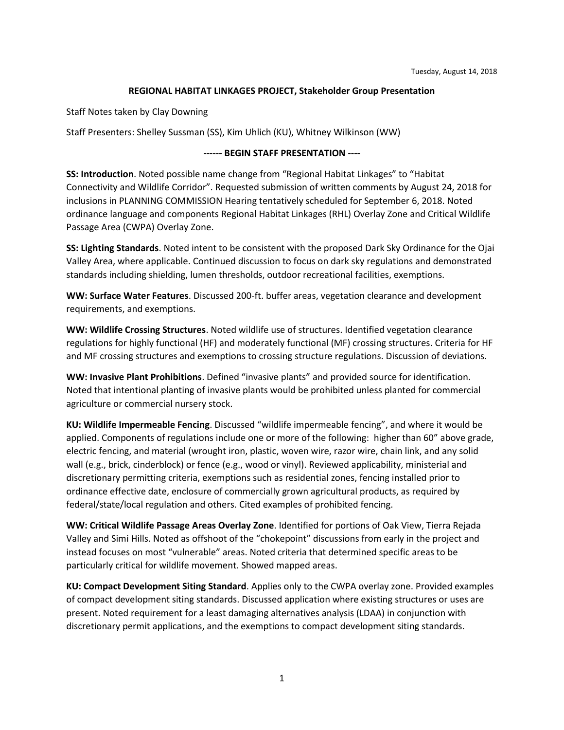## **REGIONAL HABITAT LINKAGES PROJECT, Stakeholder Group Presentation**

Staff Notes taken by Clay Downing

Staff Presenters: Shelley Sussman (SS), Kim Uhlich (KU), Whitney Wilkinson (WW)

## **------ BEGIN STAFF PRESENTATION ----**

**SS: Introduction**. Noted possible name change from "Regional Habitat Linkages" to "Habitat Connectivity and Wildlife Corridor". Requested submission of written comments by August 24, 2018 for inclusions in PLANNING COMMISSION Hearing tentatively scheduled for September 6, 2018. Noted ordinance language and components Regional Habitat Linkages (RHL) Overlay Zone and Critical Wildlife Passage Area (CWPA) Overlay Zone.

**SS: Lighting Standards**. Noted intent to be consistent with the proposed Dark Sky Ordinance for the Ojai Valley Area, where applicable. Continued discussion to focus on dark sky regulations and demonstrated standards including shielding, lumen thresholds, outdoor recreational facilities, exemptions.

**WW: Surface Water Features**. Discussed 200-ft. buffer areas, vegetation clearance and development requirements, and exemptions.

**WW: Wildlife Crossing Structures**. Noted wildlife use of structures. Identified vegetation clearance regulations for highly functional (HF) and moderately functional (MF) crossing structures. Criteria for HF and MF crossing structures and exemptions to crossing structure regulations. Discussion of deviations.

**WW: Invasive Plant Prohibitions**. Defined "invasive plants" and provided source for identification. Noted that intentional planting of invasive plants would be prohibited unless planted for commercial agriculture or commercial nursery stock.

**KU: Wildlife Impermeable Fencing**. Discussed "wildlife impermeable fencing", and where it would be applied. Components of regulations include one or more of the following: higher than 60" above grade, electric fencing, and material (wrought iron, plastic, woven wire, razor wire, chain link, and any solid wall (e.g., brick, cinderblock) or fence (e.g., wood or vinyl). Reviewed applicability, ministerial and discretionary permitting criteria, exemptions such as residential zones, fencing installed prior to ordinance effective date, enclosure of commercially grown agricultural products, as required by federal/state/local regulation and others. Cited examples of prohibited fencing.

**WW: Critical Wildlife Passage Areas Overlay Zone**. Identified for portions of Oak View, Tierra Rejada Valley and Simi Hills. Noted as offshoot of the "chokepoint" discussions from early in the project and instead focuses on most "vulnerable" areas. Noted criteria that determined specific areas to be particularly critical for wildlife movement. Showed mapped areas.

**KU: Compact Development Siting Standard**. Applies only to the CWPA overlay zone. Provided examples of compact development siting standards. Discussed application where existing structures or uses are present. Noted requirement for a least damaging alternatives analysis (LDAA) in conjunction with discretionary permit applications, and the exemptions to compact development siting standards.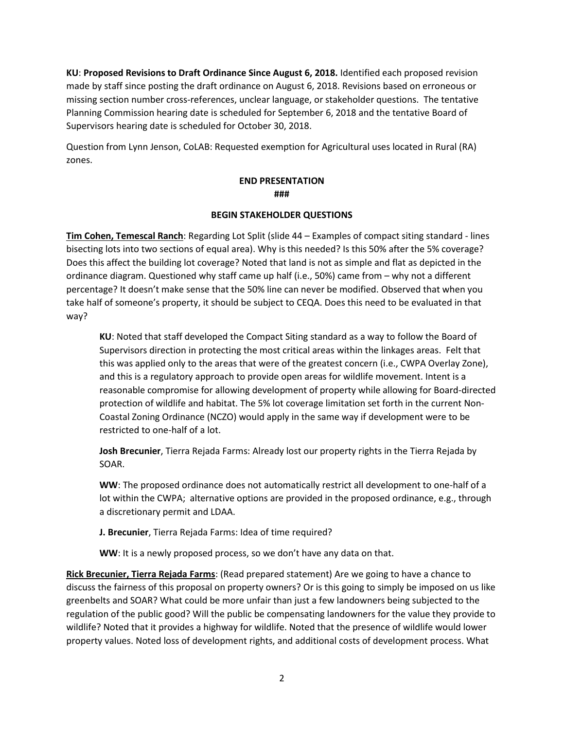**KU**: **Proposed Revisions to Draft Ordinance Since August 6, 2018.** Identified each proposed revision made by staff since posting the draft ordinance on August 6, 2018. Revisions based on erroneous or missing section number cross-references, unclear language, or stakeholder questions. The tentative Planning Commission hearing date is scheduled for September 6, 2018 and the tentative Board of Supervisors hearing date is scheduled for October 30, 2018.

Question from Lynn Jenson, CoLAB: Requested exemption for Agricultural uses located in Rural (RA) zones.

## **END PRESENTATION ###**

## **BEGIN STAKEHOLDER QUESTIONS**

**Tim Cohen, Temescal Ranch**: Regarding Lot Split (slide 44 – Examples of compact siting standard - lines bisecting lots into two sections of equal area). Why is this needed? Is this 50% after the 5% coverage? Does this affect the building lot coverage? Noted that land is not as simple and flat as depicted in the ordinance diagram. Questioned why staff came up half (i.e., 50%) came from – why not a different percentage? It doesn't make sense that the 50% line can never be modified. Observed that when you take half of someone's property, it should be subject to CEQA. Does this need to be evaluated in that way?

**KU**: Noted that staff developed the Compact Siting standard as a way to follow the Board of Supervisors direction in protecting the most critical areas within the linkages areas. Felt that this was applied only to the areas that were of the greatest concern (i.e., CWPA Overlay Zone), and this is a regulatory approach to provide open areas for wildlife movement. Intent is a reasonable compromise for allowing development of property while allowing for Board-directed protection of wildlife and habitat. The 5% lot coverage limitation set forth in the current Non-Coastal Zoning Ordinance (NCZO) would apply in the same way if development were to be restricted to one-half of a lot.

**Josh Brecunier**, Tierra Rejada Farms: Already lost our property rights in the Tierra Rejada by SOAR.

**WW**: The proposed ordinance does not automatically restrict all development to one-half of a lot within the CWPA; alternative options are provided in the proposed ordinance, e.g., through a discretionary permit and LDAA.

**J. Brecunier**, Tierra Rejada Farms: Idea of time required?

**WW**: It is a newly proposed process, so we don't have any data on that.

**Rick Brecunier, Tierra Rejada Farms**: (Read prepared statement) Are we going to have a chance to discuss the fairness of this proposal on property owners? Or is this going to simply be imposed on us like greenbelts and SOAR? What could be more unfair than just a few landowners being subjected to the regulation of the public good? Will the public be compensating landowners for the value they provide to wildlife? Noted that it provides a highway for wildlife. Noted that the presence of wildlife would lower property values. Noted loss of development rights, and additional costs of development process. What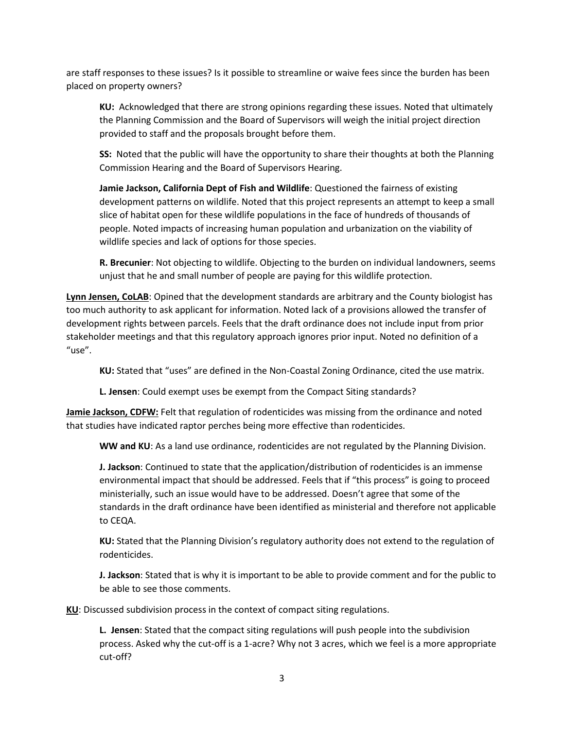are staff responses to these issues? Is it possible to streamline or waive fees since the burden has been placed on property owners?

**KU:** Acknowledged that there are strong opinions regarding these issues. Noted that ultimately the Planning Commission and the Board of Supervisors will weigh the initial project direction provided to staff and the proposals brought before them.

**SS:** Noted that the public will have the opportunity to share their thoughts at both the Planning Commission Hearing and the Board of Supervisors Hearing.

**Jamie Jackson, California Dept of Fish and Wildlife**: Questioned the fairness of existing development patterns on wildlife. Noted that this project represents an attempt to keep a small slice of habitat open for these wildlife populations in the face of hundreds of thousands of people. Noted impacts of increasing human population and urbanization on the viability of wildlife species and lack of options for those species.

**R. Brecunier**: Not objecting to wildlife. Objecting to the burden on individual landowners, seems unjust that he and small number of people are paying for this wildlife protection.

**Lynn Jensen, CoLAB**: Opined that the development standards are arbitrary and the County biologist has too much authority to ask applicant for information. Noted lack of a provisions allowed the transfer of development rights between parcels. Feels that the draft ordinance does not include input from prior stakeholder meetings and that this regulatory approach ignores prior input. Noted no definition of a "use".

**KU:** Stated that "uses" are defined in the Non-Coastal Zoning Ordinance, cited the use matrix.

**L. Jensen**: Could exempt uses be exempt from the Compact Siting standards?

**Jamie Jackson, CDFW:** Felt that regulation of rodenticides was missing from the ordinance and noted that studies have indicated raptor perches being more effective than rodenticides.

**WW and KU**: As a land use ordinance, rodenticides are not regulated by the Planning Division.

**J. Jackson**: Continued to state that the application/distribution of rodenticides is an immense environmental impact that should be addressed. Feels that if "this process" is going to proceed ministerially, such an issue would have to be addressed. Doesn't agree that some of the standards in the draft ordinance have been identified as ministerial and therefore not applicable to CEQA.

**KU:** Stated that the Planning Division's regulatory authority does not extend to the regulation of rodenticides.

**J. Jackson**: Stated that is why it is important to be able to provide comment and for the public to be able to see those comments.

**KU**: Discussed subdivision process in the context of compact siting regulations.

**L. Jensen**: Stated that the compact siting regulations will push people into the subdivision process. Asked why the cut-off is a 1-acre? Why not 3 acres, which we feel is a more appropriate cut-off?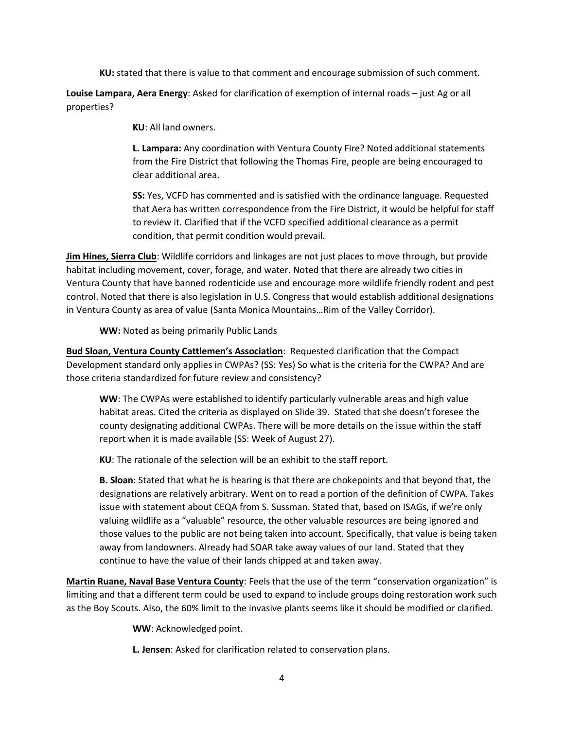**KU:** stated that there is value to that comment and encourage submission of such comment.

**Louise Lampara, Aera Energy**: Asked for clarification of exemption of internal roads – just Ag or all properties?

**KU**: All land owners.

**L. Lampara:** Any coordination with Ventura County Fire? Noted additional statements from the Fire District that following the Thomas Fire, people are being encouraged to clear additional area.

**SS:** Yes, VCFD has commented and is satisfied with the ordinance language. Requested that Aera has written correspondence from the Fire District, it would be helpful for staff to review it. Clarified that if the VCFD specified additional clearance as a permit condition, that permit condition would prevail.

**Jim Hines, Sierra Club**: Wildlife corridors and linkages are not just places to move through, but provide habitat including movement, cover, forage, and water. Noted that there are already two cities in Ventura County that have banned rodenticide use and encourage more wildlife friendly rodent and pest control. Noted that there is also legislation in U.S. Congress that would establish additional designations in Ventura County as area of value (Santa Monica Mountains…Rim of the Valley Corridor).

**WW:** Noted as being primarily Public Lands

**Bud Sloan, Ventura County Cattlemen's Association**: Requested clarification that the Compact Development standard only applies in CWPAs? (SS: Yes) So what is the criteria for the CWPA? And are those criteria standardized for future review and consistency?

**WW**: The CWPAs were established to identify particularly vulnerable areas and high value habitat areas. Cited the criteria as displayed on Slide 39. Stated that she doesn't foresee the county designating additional CWPAs. There will be more details on the issue within the staff report when it is made available (SS: Week of August 27).

**KU**: The rationale of the selection will be an exhibit to the staff report.

**B. Sloan**: Stated that what he is hearing is that there are chokepoints and that beyond that, the designations are relatively arbitrary. Went on to read a portion of the definition of CWPA. Takes issue with statement about CEQA from S. Sussman. Stated that, based on ISAGs, if we're only valuing wildlife as a "valuable" resource, the other valuable resources are being ignored and those values to the public are not being taken into account. Specifically, that value is being taken away from landowners. Already had SOAR take away values of our land. Stated that they continue to have the value of their lands chipped at and taken away.

**Martin Ruane, Naval Base Ventura County**: Feels that the use of the term "conservation organization" is limiting and that a different term could be used to expand to include groups doing restoration work such as the Boy Scouts. Also, the 60% limit to the invasive plants seems like it should be modified or clarified.

**WW**: Acknowledged point.

**L. Jensen**: Asked for clarification related to conservation plans.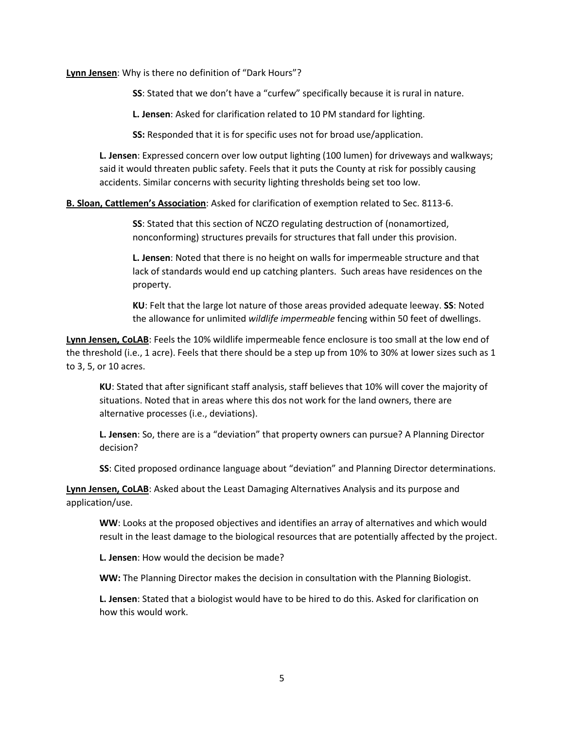**Lynn Jensen**: Why is there no definition of "Dark Hours"?

**SS**: Stated that we don't have a "curfew" specifically because it is rural in nature.

**L. Jensen**: Asked for clarification related to 10 PM standard for lighting.

**SS:** Responded that it is for specific uses not for broad use/application.

**L. Jensen**: Expressed concern over low output lighting (100 lumen) for driveways and walkways; said it would threaten public safety. Feels that it puts the County at risk for possibly causing accidents. Similar concerns with security lighting thresholds being set too low.

**B. Sloan, Cattlemen's Association**: Asked for clarification of exemption related to Sec. 8113-6.

**SS**: Stated that this section of NCZO regulating destruction of (nonamortized, nonconforming) structures prevails for structures that fall under this provision.

**L. Jensen**: Noted that there is no height on walls for impermeable structure and that lack of standards would end up catching planters. Such areas have residences on the property.

**KU**: Felt that the large lot nature of those areas provided adequate leeway. **SS**: Noted the allowance for unlimited *wildlife impermeable* fencing within 50 feet of dwellings.

**Lynn Jensen, CoLAB**: Feels the 10% wildlife impermeable fence enclosure is too small at the low end of the threshold (i.e., 1 acre). Feels that there should be a step up from 10% to 30% at lower sizes such as 1 to 3, 5, or 10 acres.

**KU**: Stated that after significant staff analysis, staff believes that 10% will cover the majority of situations. Noted that in areas where this dos not work for the land owners, there are alternative processes (i.e., deviations).

**L. Jensen**: So, there are is a "deviation" that property owners can pursue? A Planning Director decision?

**SS**: Cited proposed ordinance language about "deviation" and Planning Director determinations.

**Lynn Jensen, CoLAB**: Asked about the Least Damaging Alternatives Analysis and its purpose and application/use.

**WW**: Looks at the proposed objectives and identifies an array of alternatives and which would result in the least damage to the biological resources that are potentially affected by the project.

**L. Jensen**: How would the decision be made?

**WW:** The Planning Director makes the decision in consultation with the Planning Biologist.

**L. Jensen**: Stated that a biologist would have to be hired to do this. Asked for clarification on how this would work.